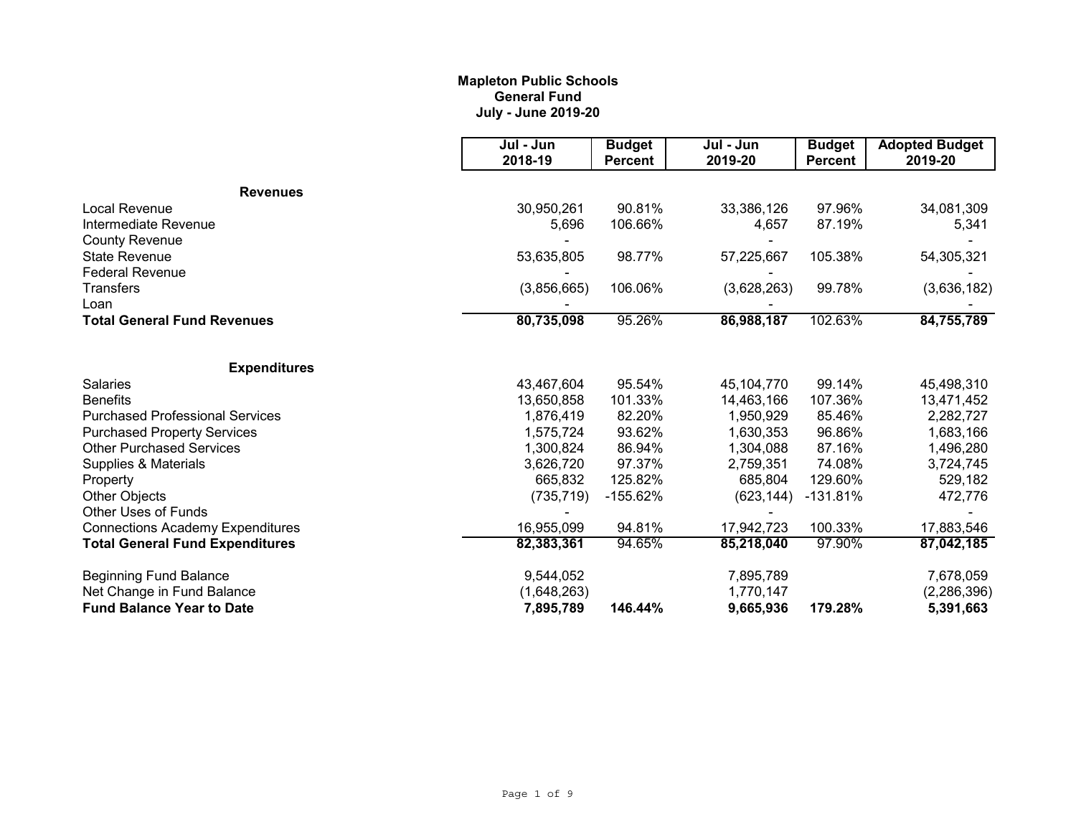# **Mapleton Public Schools General Fund July - June 2019-20**

|                                         | Jul - Jun<br>2018-19 | <b>Budget</b><br><b>Percent</b> | Jul - Jun<br>2019-20 | <b>Budget</b><br><b>Percent</b> | <b>Adopted Budget</b><br>2019-20 |
|-----------------------------------------|----------------------|---------------------------------|----------------------|---------------------------------|----------------------------------|
| <b>Revenues</b>                         |                      |                                 |                      |                                 |                                  |
| Local Revenue                           | 30,950,261           | 90.81%                          | 33,386,126           | 97.96%                          | 34,081,309                       |
| Intermediate Revenue                    | 5,696                | 106.66%                         | 4,657                | 87.19%                          | 5,341                            |
| <b>County Revenue</b>                   |                      |                                 |                      |                                 |                                  |
| <b>State Revenue</b>                    | 53,635,805           | 98.77%                          | 57,225,667           | 105.38%                         | 54,305,321                       |
| <b>Federal Revenue</b>                  |                      |                                 |                      |                                 |                                  |
| Transfers                               | (3,856,665)          | 106.06%                         | (3,628,263)          | 99.78%                          | (3,636,182)                      |
| Loan                                    |                      |                                 |                      |                                 |                                  |
| <b>Total General Fund Revenues</b>      | 80,735,098           | 95.26%                          | 86,988,187           | 102.63%                         | 84,755,789                       |
| <b>Expenditures</b>                     |                      |                                 |                      |                                 |                                  |
| <b>Salaries</b>                         | 43,467,604           | 95.54%                          | 45,104,770           | 99.14%                          | 45,498,310                       |
| <b>Benefits</b>                         | 13,650,858           | 101.33%                         | 14,463,166           | 107.36%                         | 13,471,452                       |
| <b>Purchased Professional Services</b>  | 1,876,419            | 82.20%                          | 1,950,929            | 85.46%                          | 2,282,727                        |
| <b>Purchased Property Services</b>      | 1,575,724            | 93.62%                          | 1,630,353            | 96.86%                          | 1,683,166                        |
| <b>Other Purchased Services</b>         | 1,300,824            | 86.94%                          | 1,304,088            | 87.16%                          | 1,496,280                        |
| Supplies & Materials                    | 3,626,720            | 97.37%                          | 2,759,351            | 74.08%                          | 3,724,745                        |
| Property                                | 665,832              | 125.82%                         | 685,804              | 129.60%                         | 529,182                          |
| <b>Other Objects</b>                    | (735, 719)           | $-155.62%$                      | (623, 144)           | $-131.81%$                      | 472,776                          |
| Other Uses of Funds                     |                      |                                 |                      |                                 |                                  |
| <b>Connections Academy Expenditures</b> | 16,955,099           | 94.81%                          | 17,942,723           | 100.33%                         | 17,883,546                       |
| <b>Total General Fund Expenditures</b>  | 82,383,361           | 94.65%                          | 85,218,040           | 97.90%                          | 87,042,185                       |
| <b>Beginning Fund Balance</b>           | 9,544,052            |                                 | 7,895,789            |                                 | 7,678,059                        |
| Net Change in Fund Balance              | (1,648,263)          |                                 | 1,770,147            |                                 | (2, 286, 396)                    |
| <b>Fund Balance Year to Date</b>        | 7,895,789            | 146.44%                         | 9,665,936            | 179.28%                         | 5,391,663                        |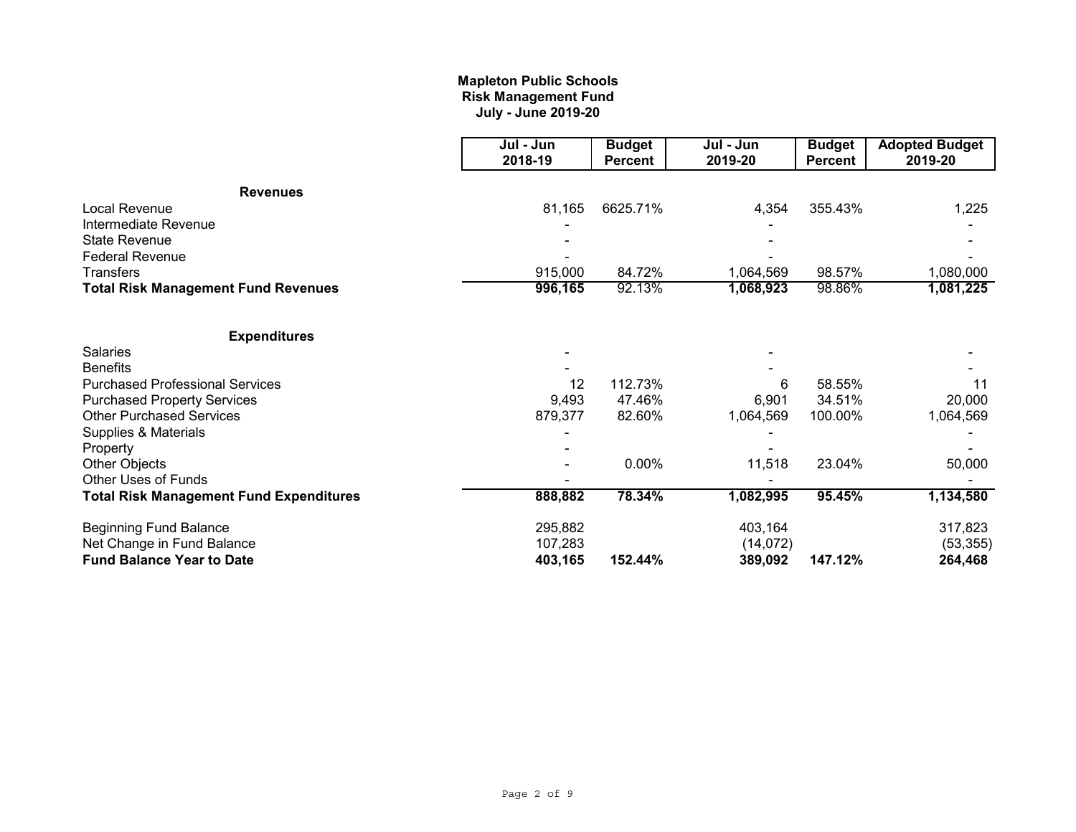# **July - June 2019-20 Mapleton Public Schools Risk Management Fund**

|                                                | Jul - Jun<br>2018-19 | <b>Budget</b><br><b>Percent</b> | Jul - Jun<br>2019-20 | <b>Budget</b><br><b>Percent</b> | <b>Adopted Budget</b><br>2019-20 |
|------------------------------------------------|----------------------|---------------------------------|----------------------|---------------------------------|----------------------------------|
|                                                |                      |                                 |                      |                                 |                                  |
| <b>Revenues</b>                                |                      |                                 |                      |                                 |                                  |
| Local Revenue                                  | 81,165               | 6625.71%                        | 4,354                | 355.43%                         | 1,225                            |
| Intermediate Revenue                           |                      |                                 |                      |                                 |                                  |
| <b>State Revenue</b>                           |                      |                                 |                      |                                 |                                  |
| <b>Federal Revenue</b>                         |                      |                                 |                      |                                 |                                  |
| <b>Transfers</b>                               | 915,000              | 84.72%                          | 1,064,569            | 98.57%                          | 1,080,000                        |
| <b>Total Risk Management Fund Revenues</b>     | 996,165              | 92.13%                          | 1,068,923            | 98.86%                          | 1,081,225                        |
| <b>Expenditures</b>                            |                      |                                 |                      |                                 |                                  |
| <b>Salaries</b>                                |                      |                                 |                      |                                 |                                  |
| <b>Benefits</b>                                |                      |                                 |                      |                                 |                                  |
| <b>Purchased Professional Services</b>         | 12                   | 112.73%                         | 6                    | 58.55%                          | 11                               |
| <b>Purchased Property Services</b>             | 9,493                | 47.46%                          | 6,901                | 34.51%                          | 20,000                           |
| <b>Other Purchased Services</b>                | 879,377              | 82.60%                          | 1,064,569            | 100.00%                         | 1,064,569                        |
| Supplies & Materials                           |                      |                                 |                      |                                 |                                  |
| Property                                       |                      |                                 |                      |                                 |                                  |
| <b>Other Objects</b>                           |                      | 0.00%                           | 11,518               | 23.04%                          | 50,000                           |
| Other Uses of Funds                            |                      |                                 |                      |                                 |                                  |
| <b>Total Risk Management Fund Expenditures</b> | 888,882              | 78.34%                          | 1,082,995            | 95.45%                          | 1,134,580                        |
| <b>Beginning Fund Balance</b>                  | 295,882              |                                 | 403,164              |                                 | 317,823                          |
| Net Change in Fund Balance                     | 107,283              |                                 | (14,072)             |                                 | (53, 355)                        |
| <b>Fund Balance Year to Date</b>               | 403,165              | 152.44%                         | 389,092              | 147.12%                         | 264,468                          |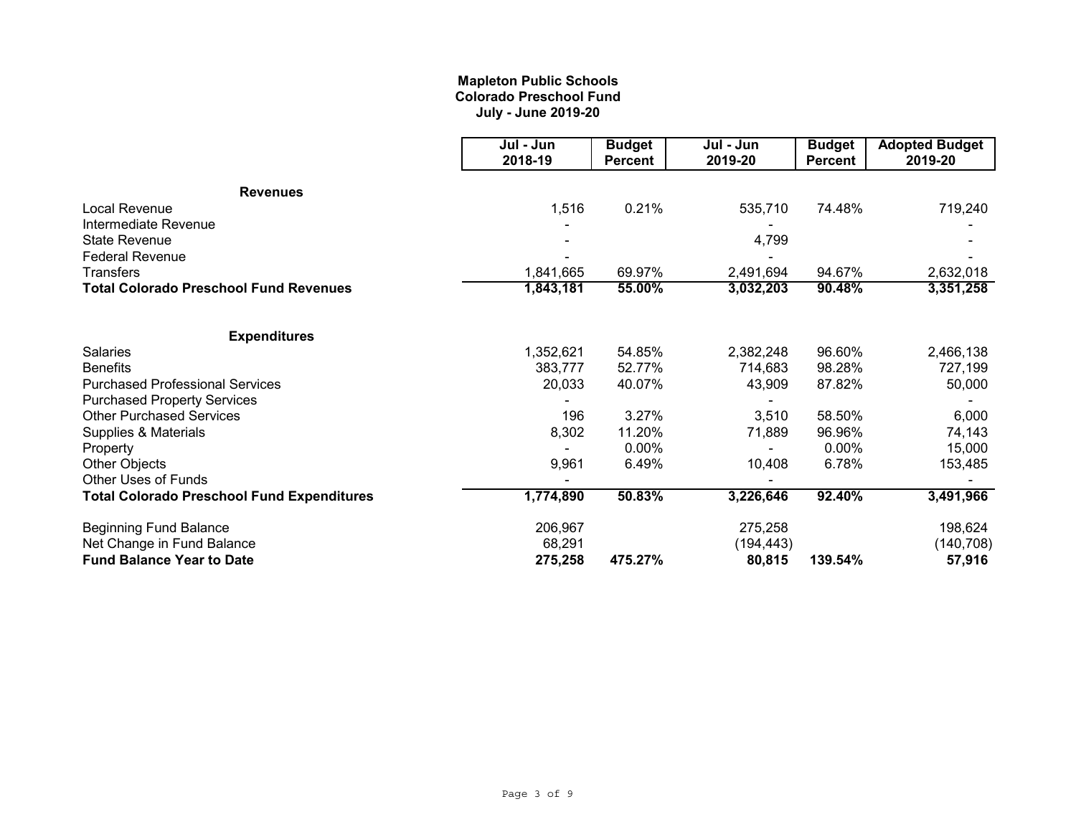# **Mapleton Public Schools Colorado Preschool Fund July - June 2019-20**

|                                                   | Jul - Jun<br>2018-19 | <b>Budget</b><br><b>Percent</b> | Jul - Jun<br>2019-20 | <b>Budget</b><br><b>Percent</b> | <b>Adopted Budget</b><br>2019-20 |
|---------------------------------------------------|----------------------|---------------------------------|----------------------|---------------------------------|----------------------------------|
|                                                   |                      |                                 |                      |                                 |                                  |
| <b>Revenues</b>                                   |                      |                                 |                      |                                 |                                  |
| Local Revenue                                     | 1,516                | 0.21%                           | 535,710              | 74.48%                          | 719,240                          |
| Intermediate Revenue                              |                      |                                 |                      |                                 |                                  |
| <b>State Revenue</b>                              |                      |                                 | 4,799                |                                 |                                  |
| <b>Federal Revenue</b>                            |                      |                                 |                      |                                 |                                  |
| <b>Transfers</b>                                  | 1,841,665            | 69.97%                          | 2,491,694            | 94.67%                          | 2,632,018                        |
| Total Colorado Preschool Fund Revenues            | 1,843,181            | 55.00%                          | 3,032,203            | 90.48%                          | 3,351,258                        |
| <b>Expenditures</b>                               |                      |                                 |                      |                                 |                                  |
| <b>Salaries</b>                                   | 1,352,621            | 54.85%                          | 2,382,248            | 96.60%                          | 2,466,138                        |
| <b>Benefits</b>                                   | 383,777              | 52.77%                          | 714,683              | 98.28%                          | 727,199                          |
| <b>Purchased Professional Services</b>            | 20,033               | 40.07%                          | 43,909               | 87.82%                          | 50,000                           |
| <b>Purchased Property Services</b>                |                      |                                 |                      |                                 |                                  |
| <b>Other Purchased Services</b>                   | 196                  | 3.27%                           | 3,510                | 58.50%                          | 6,000                            |
| Supplies & Materials                              | 8,302                | 11.20%                          | 71,889               | 96.96%                          | 74,143                           |
| Property                                          |                      | 0.00%                           |                      | 0.00%                           | 15,000                           |
| <b>Other Objects</b>                              | 9,961                | 6.49%                           | 10,408               | 6.78%                           | 153,485                          |
| <b>Other Uses of Funds</b>                        |                      |                                 |                      |                                 |                                  |
| <b>Total Colorado Preschool Fund Expenditures</b> | 1,774,890            | 50.83%                          | 3,226,646            | 92.40%                          | 3,491,966                        |
| <b>Beginning Fund Balance</b>                     | 206,967              |                                 | 275,258              |                                 | 198,624                          |
| Net Change in Fund Balance                        | 68,291               |                                 | (194, 443)           |                                 | (140, 708)                       |
| <b>Fund Balance Year to Date</b>                  | 275,258              | 475.27%                         | 80,815               | 139.54%                         | 57,916                           |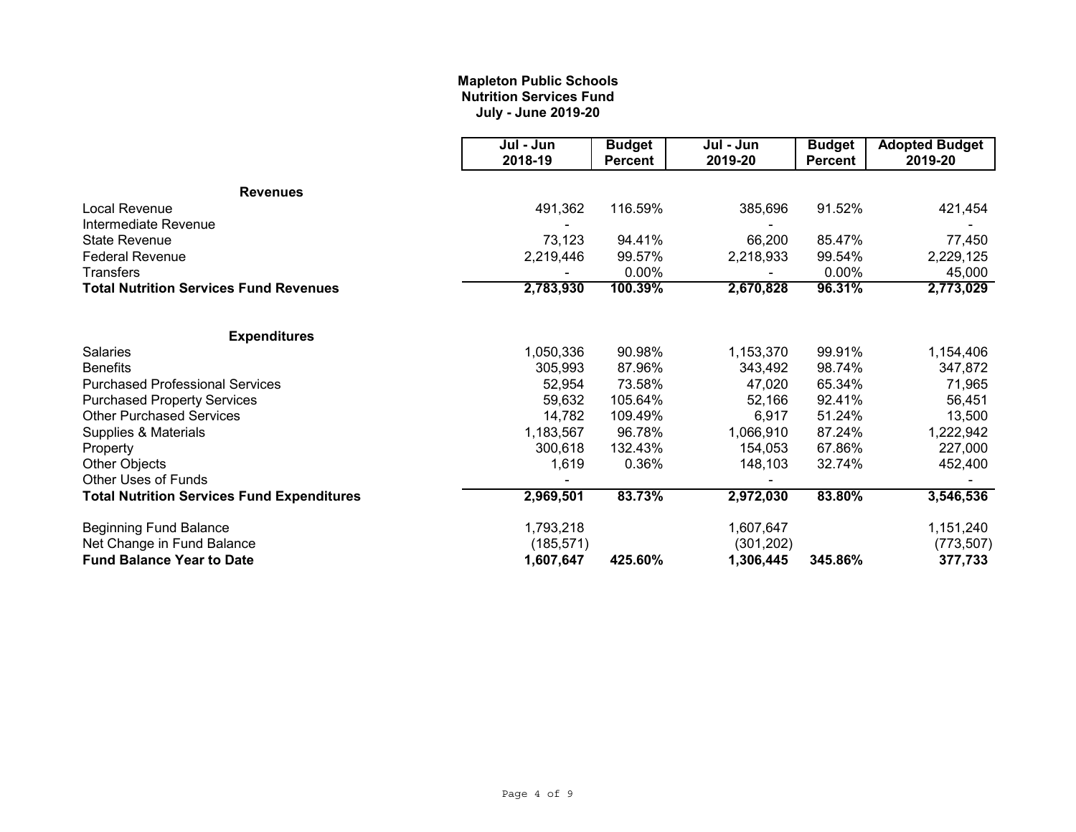# **Mapleton Public Schools Nutrition Services Fund July - June 2019-20**

|                                                   | Jul - Jun  | <b>Budget</b>  | Jul - Jun  | <b>Budget</b>  | <b>Adopted Budget</b> |
|---------------------------------------------------|------------|----------------|------------|----------------|-----------------------|
|                                                   | 2018-19    | <b>Percent</b> | 2019-20    | <b>Percent</b> | 2019-20               |
| <b>Revenues</b>                                   |            |                |            |                |                       |
| Local Revenue                                     | 491,362    | 116.59%        | 385,696    | 91.52%         | 421,454               |
| Intermediate Revenue                              |            |                |            |                |                       |
| <b>State Revenue</b>                              | 73,123     | 94.41%         | 66,200     | 85.47%         | 77,450                |
| <b>Federal Revenue</b>                            | 2,219,446  | 99.57%         | 2,218,933  | 99.54%         | 2,229,125             |
| Transfers                                         |            | 0.00%          |            | 0.00%          | 45,000                |
| <b>Total Nutrition Services Fund Revenues</b>     | 2,783,930  | 100.39%        | 2,670,828  | 96.31%         | 2,773,029             |
| <b>Expenditures</b>                               |            |                |            |                |                       |
| <b>Salaries</b>                                   | 1,050,336  | 90.98%         | 1,153,370  | 99.91%         | 1,154,406             |
| <b>Benefits</b>                                   | 305,993    | 87.96%         | 343,492    | 98.74%         | 347,872               |
| <b>Purchased Professional Services</b>            | 52,954     | 73.58%         | 47,020     | 65.34%         | 71,965                |
| <b>Purchased Property Services</b>                | 59,632     | 105.64%        | 52,166     | 92.41%         | 56,451                |
| <b>Other Purchased Services</b>                   | 14,782     | 109.49%        | 6,917      | 51.24%         | 13,500                |
| Supplies & Materials                              | 1,183,567  | 96.78%         | 1,066,910  | 87.24%         | 1,222,942             |
| Property                                          | 300,618    | 132.43%        | 154,053    | 67.86%         | 227,000               |
| Other Objects                                     | 1,619      | 0.36%          | 148,103    | 32.74%         | 452,400               |
| <b>Other Uses of Funds</b>                        |            |                |            |                |                       |
| <b>Total Nutrition Services Fund Expenditures</b> | 2,969,501  | 83.73%         | 2,972,030  | 83.80%         | 3,546,536             |
| <b>Beginning Fund Balance</b>                     | 1,793,218  |                | 1,607,647  |                | 1,151,240             |
| Net Change in Fund Balance                        | (185, 571) |                | (301, 202) |                | (773, 507)            |
| <b>Fund Balance Year to Date</b>                  | 1,607,647  | 425.60%        | 1,306,445  | 345.86%        | 377,733               |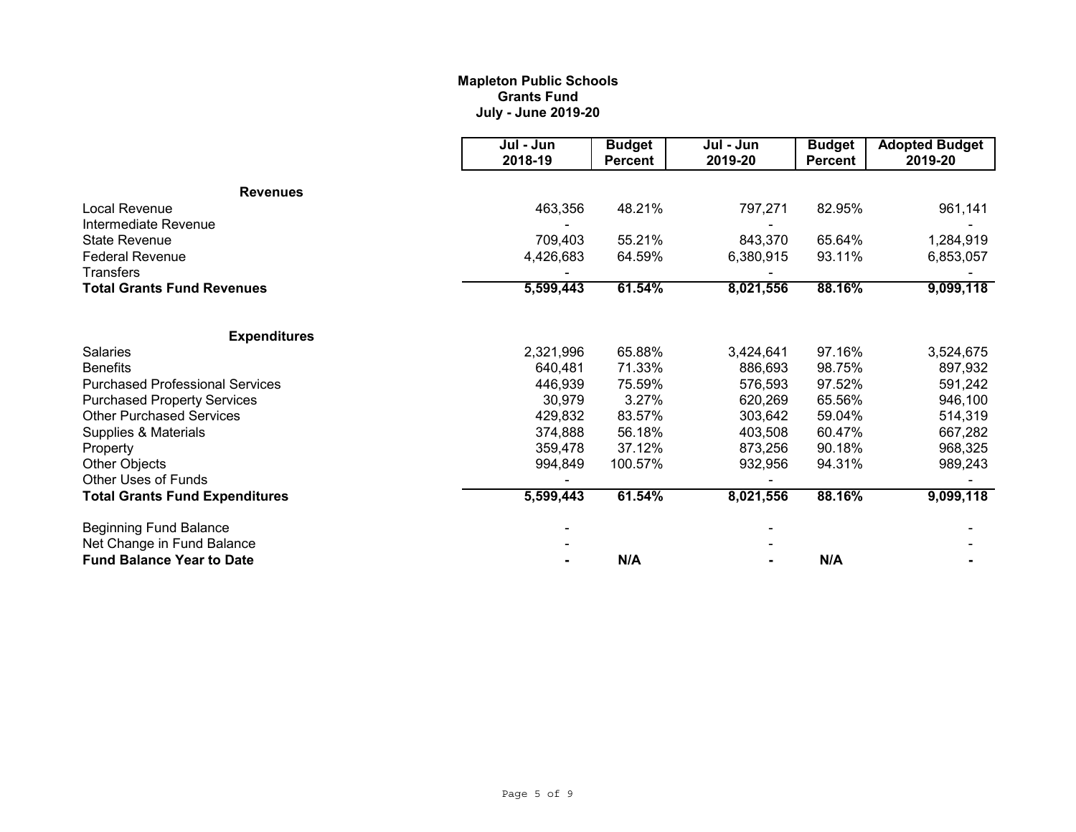# **Mapleton Public Schools Grants Fund July - June 2019-20**

|                                        | Jul - Jun<br>2018-19 | <b>Budget</b><br><b>Percent</b> | Jul - Jun<br>2019-20 | <b>Budget</b><br><b>Percent</b> | <b>Adopted Budget</b><br>2019-20 |
|----------------------------------------|----------------------|---------------------------------|----------------------|---------------------------------|----------------------------------|
| <b>Revenues</b>                        |                      |                                 |                      |                                 |                                  |
| Local Revenue                          | 463,356              | 48.21%                          | 797,271              | 82.95%                          | 961,141                          |
| Intermediate Revenue                   |                      |                                 |                      |                                 |                                  |
| <b>State Revenue</b>                   | 709,403              | 55.21%                          | 843,370              | 65.64%                          | 1,284,919                        |
| <b>Federal Revenue</b>                 | 4,426,683            | 64.59%                          | 6,380,915            | 93.11%                          | 6,853,057                        |
| Transfers                              |                      |                                 |                      |                                 |                                  |
| <b>Total Grants Fund Revenues</b>      | 5,599,443            | 88.16%<br>61.54%<br>8,021,556   | 9,099,118            |                                 |                                  |
| <b>Expenditures</b>                    |                      |                                 |                      |                                 |                                  |
| Salaries                               | 2,321,996            | 65.88%                          | 3,424,641            | 97.16%                          | 3,524,675                        |
| <b>Benefits</b>                        | 640,481              | 71.33%                          | 886,693              | 98.75%                          | 897,932                          |
| <b>Purchased Professional Services</b> | 446,939              | 75.59%                          | 576,593              | 97.52%                          | 591,242                          |
| <b>Purchased Property Services</b>     | 30,979               | 3.27%                           | 620,269              | 65.56%                          | 946,100                          |
| <b>Other Purchased Services</b>        | 429,832              | 83.57%                          | 303,642              | 59.04%                          | 514,319                          |
| Supplies & Materials                   | 374,888              | 56.18%                          | 403,508              | 60.47%                          | 667,282                          |
| Property                               | 359,478              | 37.12%                          | 873,256              | 90.18%                          | 968,325                          |
| Other Objects                          | 994,849              | 100.57%                         | 932,956              | 94.31%                          | 989,243                          |
| Other Uses of Funds                    |                      |                                 |                      |                                 |                                  |
| <b>Total Grants Fund Expenditures</b>  | 5,599,443            | 61.54%                          | 8,021,556            | 88.16%                          | 9,099,118                        |
| <b>Beginning Fund Balance</b>          |                      |                                 |                      |                                 |                                  |
| Net Change in Fund Balance             |                      |                                 |                      |                                 |                                  |
| <b>Fund Balance Year to Date</b>       |                      | N/A                             |                      | N/A                             |                                  |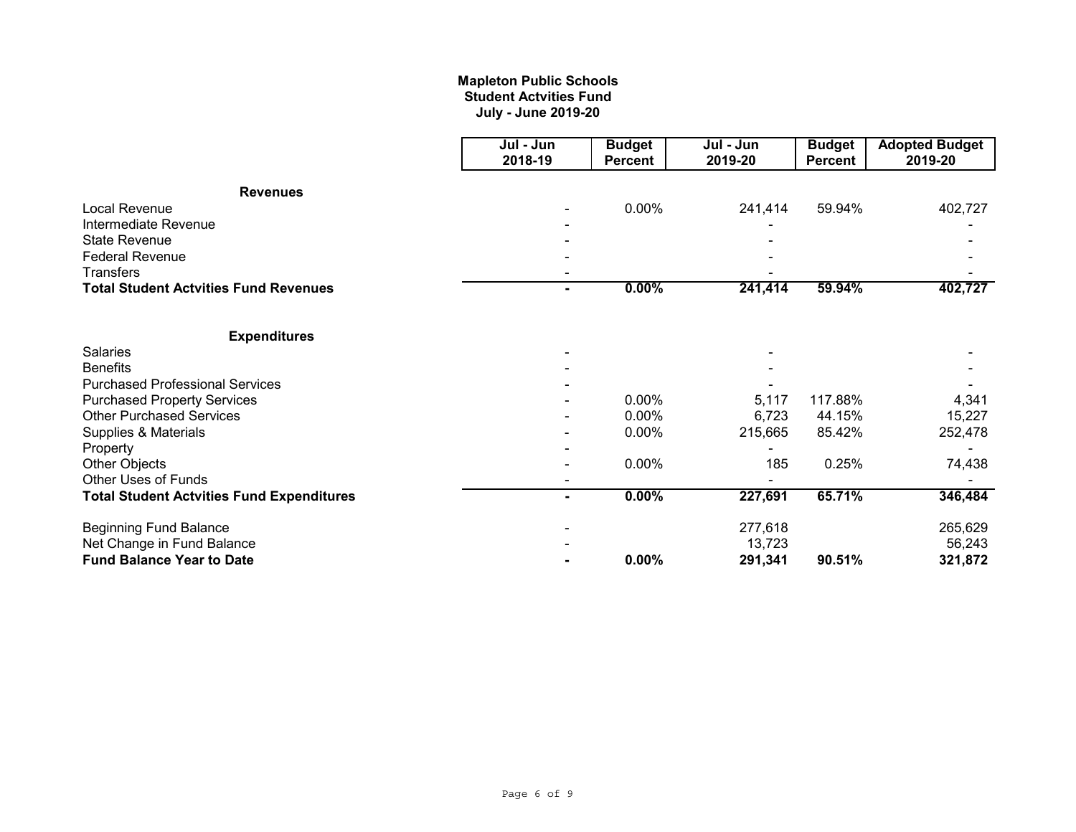# **July - June 2019-20 Mapleton Public Schools Student Actvities Fund**

|                                                  | Jul - Jun<br>2018-19 | <b>Budget</b><br><b>Percent</b> | Jul - Jun<br>2019-20 | <b>Budget</b><br><b>Percent</b> | <b>Adopted Budget</b><br>2019-20 |
|--------------------------------------------------|----------------------|---------------------------------|----------------------|---------------------------------|----------------------------------|
| <b>Revenues</b>                                  |                      |                                 |                      |                                 |                                  |
| Local Revenue                                    |                      | 0.00%                           | 241,414              | 59.94%                          | 402,727                          |
| Intermediate Revenue                             |                      |                                 |                      |                                 |                                  |
| <b>State Revenue</b>                             |                      |                                 |                      |                                 |                                  |
| <b>Federal Revenue</b>                           |                      |                                 |                      |                                 |                                  |
| <b>Transfers</b>                                 |                      |                                 |                      |                                 |                                  |
| <b>Total Student Actvities Fund Revenues</b>     | ۰.                   | $0.00\%$                        | 241,414              | 59.94%                          | 402,727                          |
| <b>Expenditures</b>                              |                      |                                 |                      |                                 |                                  |
| <b>Salaries</b>                                  |                      |                                 |                      |                                 |                                  |
| <b>Benefits</b>                                  |                      |                                 |                      |                                 |                                  |
| <b>Purchased Professional Services</b>           |                      |                                 |                      |                                 |                                  |
| <b>Purchased Property Services</b>               |                      | 0.00%                           | 5,117                | 117.88%                         | 4,341                            |
| <b>Other Purchased Services</b>                  |                      | 0.00%                           | 6,723                | 44.15%                          | 15,227                           |
| Supplies & Materials                             |                      | 0.00%                           | 215,665              | 85.42%                          | 252,478                          |
| Property                                         |                      |                                 |                      |                                 |                                  |
| Other Objects                                    |                      | 0.00%                           | 185                  | 0.25%                           | 74,438                           |
| Other Uses of Funds                              |                      |                                 |                      |                                 |                                  |
| <b>Total Student Actvities Fund Expenditures</b> |                      | $0.00\%$                        | 227,691              | 65.71%                          | 346,484                          |
| <b>Beginning Fund Balance</b>                    |                      |                                 | 277,618              |                                 | 265,629                          |
| Net Change in Fund Balance                       |                      |                                 | 13,723               |                                 | 56,243                           |
| <b>Fund Balance Year to Date</b>                 |                      | 0.00%                           | 291,341              | 90.51%                          | 321,872                          |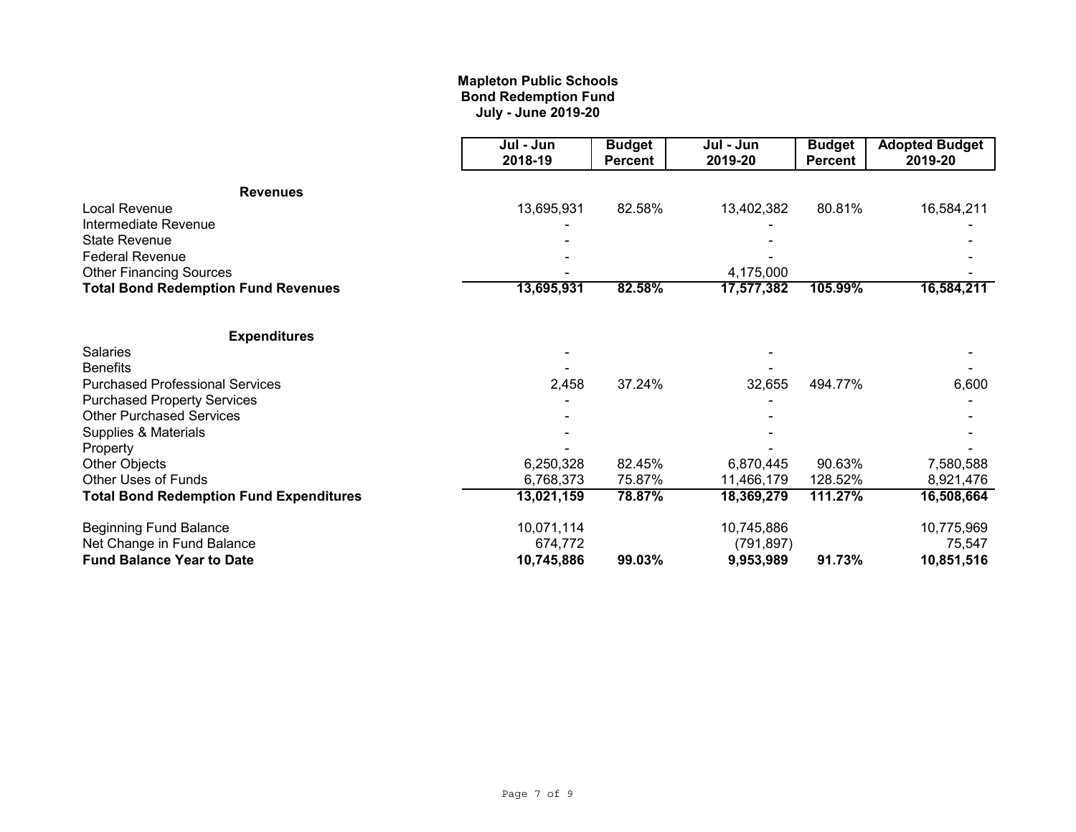# **Mapleton Public Schools Bond Redemption Fund July - June 2019-20**

|                                                | Jul - Jun  | <b>Budget</b>  | Jul - Jun  | <b>Budget</b>  | <b>Adopted Budget</b> |
|------------------------------------------------|------------|----------------|------------|----------------|-----------------------|
|                                                | 2018-19    | <b>Percent</b> | 2019-20    | <b>Percent</b> | 2019-20               |
| <b>Revenues</b>                                |            |                |            |                |                       |
| Local Revenue                                  | 13,695,931 | 82.58%         | 13,402,382 | 80.81%         | 16,584,211            |
| Intermediate Revenue                           |            |                |            |                |                       |
| <b>State Revenue</b>                           |            |                |            |                |                       |
| <b>Federal Revenue</b>                         |            |                |            |                |                       |
| <b>Other Financing Sources</b>                 |            |                | 4,175,000  |                |                       |
| <b>Total Bond Redemption Fund Revenues</b>     | 13,695,931 | 82.58%         | 17,577,382 | 105.99%        | 16,584,211            |
| <b>Expenditures</b>                            |            |                |            |                |                       |
| <b>Salaries</b>                                |            |                |            |                |                       |
| <b>Benefits</b>                                |            |                |            |                |                       |
| <b>Purchased Professional Services</b>         | 2,458      | 37.24%         | 32,655     | 494.77%        | 6,600                 |
| <b>Purchased Property Services</b>             |            |                |            |                |                       |
| <b>Other Purchased Services</b>                |            |                |            |                |                       |
| Supplies & Materials                           |            |                |            |                |                       |
| Property                                       |            |                |            |                |                       |
| <b>Other Objects</b>                           | 6,250,328  | 82.45%         | 6,870,445  | 90.63%         | 7,580,588             |
| Other Uses of Funds                            | 6,768,373  | 75.87%         | 11,466,179 | 128.52%        | 8,921,476             |
| <b>Total Bond Redemption Fund Expenditures</b> | 13,021,159 | 78.87%         | 18,369,279 | 111.27%        | 16,508,664            |
| <b>Beginning Fund Balance</b>                  | 10,071,114 |                | 10,745,886 |                | 10,775,969            |
| Net Change in Fund Balance                     | 674,772    |                | (791, 897) |                | 75,547                |
| <b>Fund Balance Year to Date</b>               | 10,745,886 | 99.03%         | 9,953,989  | 91.73%         | 10,851,516            |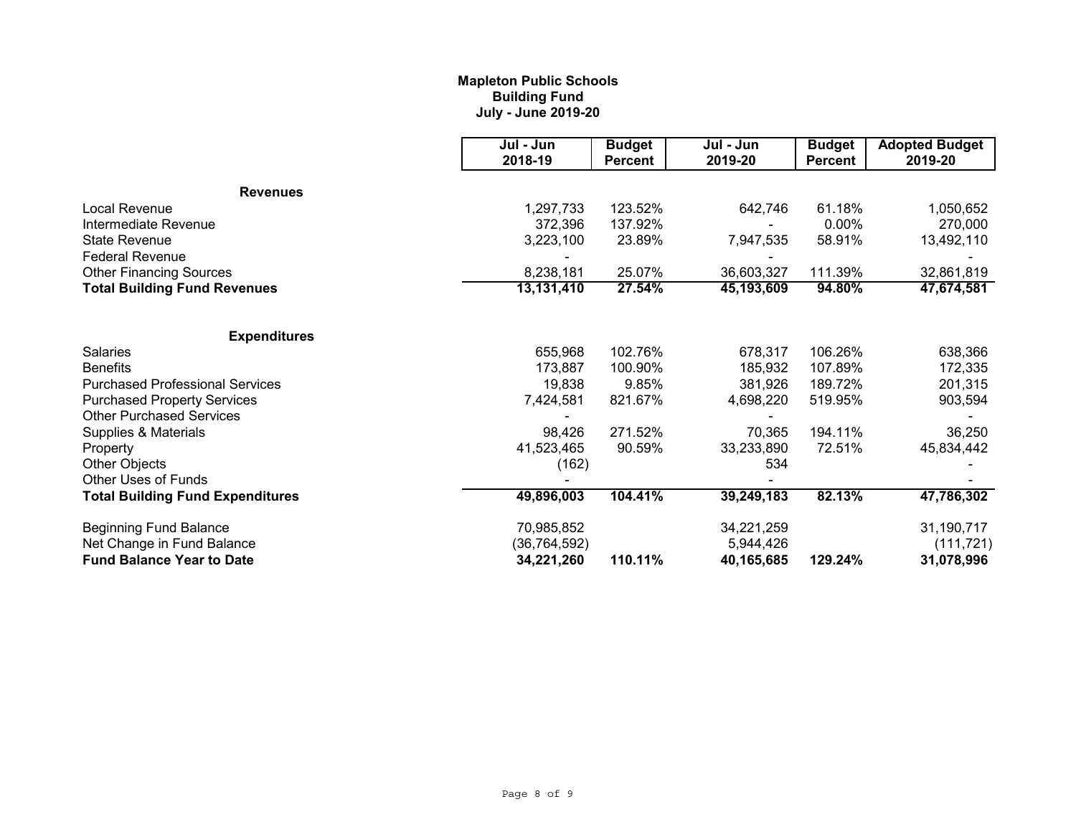# **Mapleton Public Schools Building Fund July - June 2019-20**

|                                         | Jul - Jun<br>2018-19 | <b>Budget</b><br><b>Percent</b> | Jul - Jun<br>2019-20 | <b>Budget</b><br><b>Percent</b> | <b>Adopted Budget</b><br>2019-20 |
|-----------------------------------------|----------------------|---------------------------------|----------------------|---------------------------------|----------------------------------|
| <b>Revenues</b>                         |                      |                                 |                      |                                 |                                  |
| Local Revenue                           | 1,297,733            | 123.52%                         | 642,746              | 61.18%                          | 1,050,652                        |
| Intermediate Revenue                    | 372,396              | 137.92%                         |                      | 0.00%                           | 270,000                          |
| <b>State Revenue</b>                    | 3,223,100            | 23.89%                          | 7,947,535            | 58.91%                          | 13,492,110                       |
| <b>Federal Revenue</b>                  |                      |                                 |                      |                                 |                                  |
| <b>Other Financing Sources</b>          | 8,238,181            | 25.07%                          | 36,603,327           | 111.39%                         | 32,861,819                       |
| <b>Total Building Fund Revenues</b>     | 13,131,410           | 27.54%<br>45,193,609            | 94.80%               | 47,674,581                      |                                  |
| <b>Expenditures</b>                     |                      |                                 |                      |                                 |                                  |
| <b>Salaries</b>                         | 655,968              | 102.76%                         | 678,317              | 106.26%                         | 638,366                          |
| <b>Benefits</b>                         | 173.887              | 100.90%                         | 185,932              | 107.89%                         | 172,335                          |
| <b>Purchased Professional Services</b>  | 19,838               | 9.85%                           | 381,926              | 189.72%                         | 201,315                          |
| <b>Purchased Property Services</b>      | 7,424,581            | 821.67%                         | 4,698,220            | 519.95%                         | 903,594                          |
| <b>Other Purchased Services</b>         |                      |                                 |                      |                                 |                                  |
| Supplies & Materials                    | 98,426               | 271.52%                         | 70,365               | 194.11%                         | 36,250                           |
| Property                                | 41,523,465           | 90.59%                          | 33,233,890           | 72.51%                          | 45,834,442                       |
| <b>Other Objects</b>                    | (162)                |                                 | 534                  |                                 |                                  |
| Other Uses of Funds                     |                      |                                 |                      |                                 |                                  |
| <b>Total Building Fund Expenditures</b> | 49,896,003           | 104.41%                         | 39,249,183           | 82.13%                          | 47,786,302                       |
| <b>Beginning Fund Balance</b>           | 70,985,852           |                                 | 34,221,259           |                                 | 31,190,717                       |
| Net Change in Fund Balance              | (36, 764, 592)       |                                 | 5,944,426            |                                 | (111, 721)                       |
| <b>Fund Balance Year to Date</b>        | 34,221,260           | 110.11%                         | 40,165,685           | 129.24%                         | 31,078,996                       |